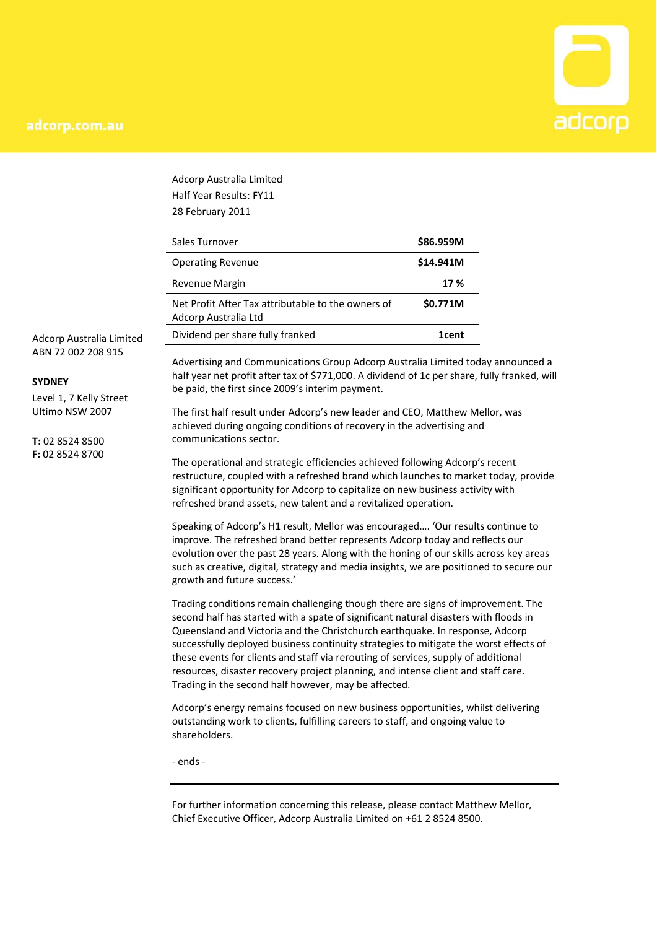

Adcorp Australia Limited Half Year Results: FY11 28 February 2011

| Sales Turnover                                                             | \$86.959M |
|----------------------------------------------------------------------------|-----------|
| <b>Operating Revenue</b>                                                   | \$14.941M |
| Revenue Margin                                                             | 17 %      |
| Net Profit After Tax attributable to the owners of<br>Adcorp Australia Ltd | \$0.771M  |
| Dividend per share fully franked                                           | 1cent     |

Adcorp Australia Limited ABN 72 002 208 915

#### **SYDNEY**

Level 1, 7 Kelly Street Ultimo NSW 2007

**T:** 02 8524 8500 **F:** 02 8524 8700

Advertising and Communications Group Adcorp Australia Limited today announced a half year net profit after tax of \$771,000. A dividend of 1c per share, fully franked, will be paid, the first since 2009's interim payment.

The first half result under Adcorp's new leader and CEO, Matthew Mellor, was achieved during ongoing conditions of recovery in the advertising and communications sector.

The operational and strategic efficiencies achieved following Adcorp's recent restructure, coupled with a refreshed brand which launches to market today, provide significant opportunity for Adcorp to capitalize on new business activity with refreshed brand assets, new talent and a revitalized operation.

Speaking of Adcorp's H1 result, Mellor was encouraged…. 'Our results continue to improve. The refreshed brand better represents Adcorp today and reflects our evolution over the past 28 years. Along with the honing of our skills across key areas such as creative, digital, strategy and media insights, we are positioned to secure our growth and future success.'

Trading conditions remain challenging though there are signs of improvement. The second half has started with a spate of significant natural disasters with floods in Queensland and Victoria and the Christchurch earthquake. In response, Adcorp successfully deployed business continuity strategies to mitigate the worst effects of these events for clients and staff via rerouting of services, supply of additional resources, disaster recovery project planning, and intense client and staff care. Trading in the second half however, may be affected.

Adcorp's energy remains focused on new business opportunities, whilst delivering outstanding work to clients, fulfilling careers to staff, and ongoing value to shareholders.

‐ ends ‐

For further information concerning this release, please contact Matthew Mellor, Chief Executive Officer, Adcorp Australia Limited on +61 2 8524 8500.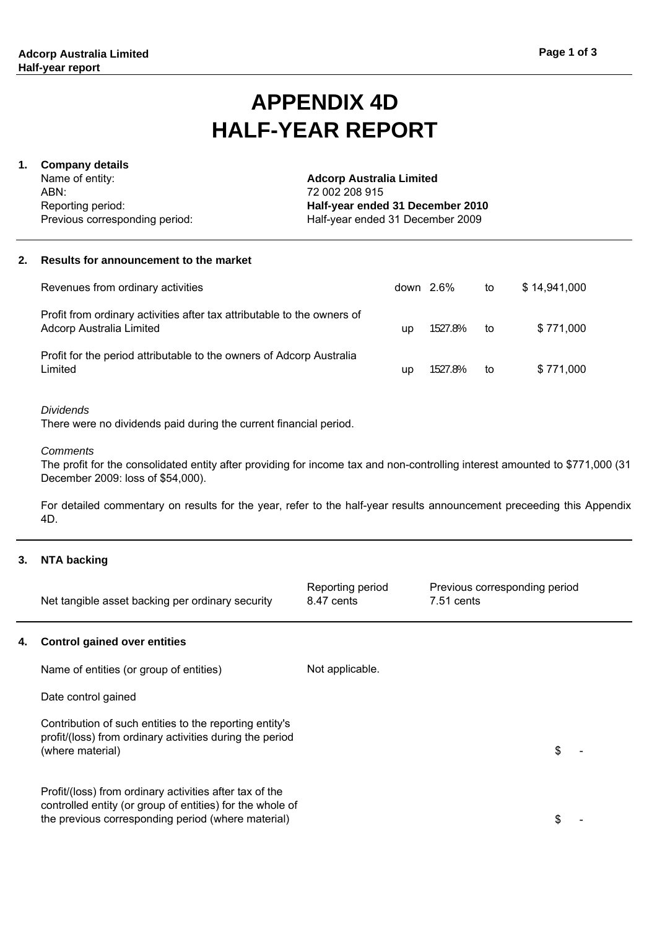# **HALF-YEAR REPORT APPENDIX 4D**

## **1. Company details**

Name of entity: ABN: Reporting period: Previous corresponding period: Half-year ended 31 December 2009 **Adcorp Australia Limited** 72 002 208 915 **Half-year ended 31 December 2010**

#### **2. Results for announcement to the market**

| Revenues from ordinary activities                                                                   |    | down $2.6\%$ | to | \$14,941,000 |
|-----------------------------------------------------------------------------------------------------|----|--------------|----|--------------|
| Profit from ordinary activities after tax attributable to the owners of<br>Adcorp Australia Limited | up | 1527.8%      | to | \$771.000    |
| Profit for the period attributable to the owners of Adcorp Australia<br>Limited                     | up | 1527.8%      | to | \$771.000    |

#### *Dividends*

There were no dividends paid during the current financial period.

#### *Comments*

The profit for the consolidated entity after providing for income tax and non-controlling interest amounted to \$771,000 (31 December 2009: loss of \$54,000).

For detailed commentary on results for the year, refer to the half-year results announcement preceeding this Appendix 4D.

#### **3. NTA backing**

| Net tangible asset backing per ordinary security | Reporting period<br>8.47 cents | Previous corresponding period<br>7.51 cents |  |
|--------------------------------------------------|--------------------------------|---------------------------------------------|--|
|--------------------------------------------------|--------------------------------|---------------------------------------------|--|

#### **4. Control gained over entities**

Name of entities (or group of entities) Date control gained Contribution of such entities to the reporting entity's profit/(loss) from ordinary activities during the period (where material) Not applicable.

Profit/(loss) from ordinary activities after tax of the controlled entity (or group of entities) for the whole of the previous corresponding period (where material)

 $$$ 

 $\mathcal{L}$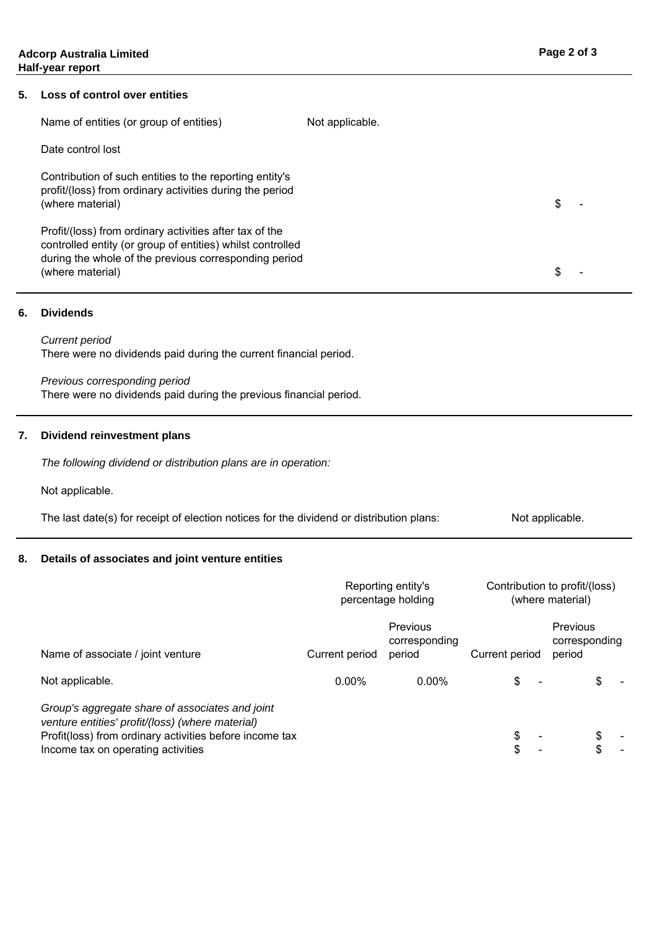#### **5. Loss of control over entities**

| Name of entities (or group of entities)                                                                                                                                                            | Not applicable. |   |  |
|----------------------------------------------------------------------------------------------------------------------------------------------------------------------------------------------------|-----------------|---|--|
| Date control lost                                                                                                                                                                                  |                 |   |  |
| Contribution of such entities to the reporting entity's<br>profit/(loss) from ordinary activities during the period<br>(where material)                                                            |                 | S |  |
| Profit/(loss) from ordinary activities after tax of the<br>controlled entity (or group of entities) whilst controlled<br>during the whole of the previous corresponding period<br>(where material) |                 |   |  |

#### **6. Dividends**

*Current period* There were no dividends paid during the current financial period.

## *Previous corresponding period*

There were no dividends paid during the previous financial period.

#### **7. Dividend reinvestment plans**

*The following dividend or distribution plans are in operation:*

Not applicable.

Not applicable. The last date(s) for receipt of election notices for the dividend or distribution plans:

#### **8. Details of associates and joint venture entities**

|                                                                                                                                                                                                      | Reporting entity's<br>percentage holding |                                     | Contribution to profit/(loss)<br>(where material) |                                     |
|------------------------------------------------------------------------------------------------------------------------------------------------------------------------------------------------------|------------------------------------------|-------------------------------------|---------------------------------------------------|-------------------------------------|
| Name of associate / joint venture                                                                                                                                                                    | Current period                           | Previous<br>corresponding<br>period | Current period                                    | Previous<br>corresponding<br>period |
| Not applicable.                                                                                                                                                                                      | $0.00\%$                                 | 0.00%                               | \$                                                |                                     |
| Group's aggregate share of associates and joint<br>venture entities' profit/(loss) (where material)<br>Profit(loss) from ordinary activities before income tax<br>Income tax on operating activities |                                          |                                     | \$<br>\$                                          | \$<br>\$                            |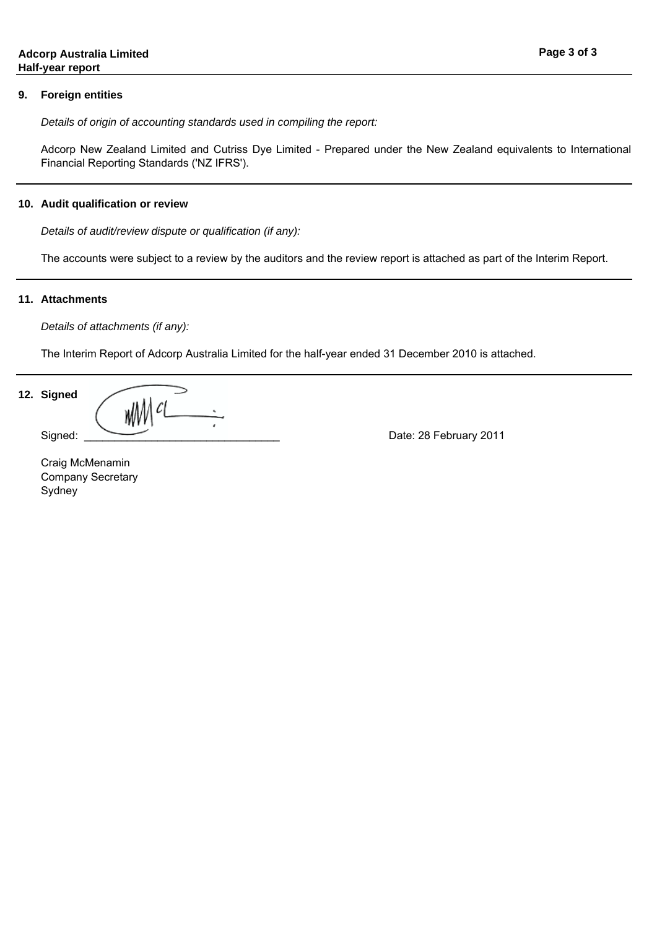#### **9. Foreign entities**

*Details of origin of accounting standards used in compiling the report:*

Adcorp New Zealand Limited and Cutriss Dye Limited - Prepared under the New Zealand equivalents to International Financial Reporting Standards ('NZ IFRS').

#### **10. Audit qualification or review**

*Details of audit/review dispute or qualification (if any):*

The accounts were subject to a review by the auditors and the review report is attached as part of the Interim Report.

#### **11. Attachments**

*Details of attachments (if any):*

The Interim Report of Adcorp Australia Limited for the half-year ended 31 December 2010 is attached.

**12. Signed**

Signed: \_\_\_\_\_\_\_\_\_\_\_\_\_\_\_\_\_\_\_\_\_\_\_\_\_\_\_\_\_\_\_\_ Date: 28 February 2011

**Sydney** Company Secretary Craig McMenamin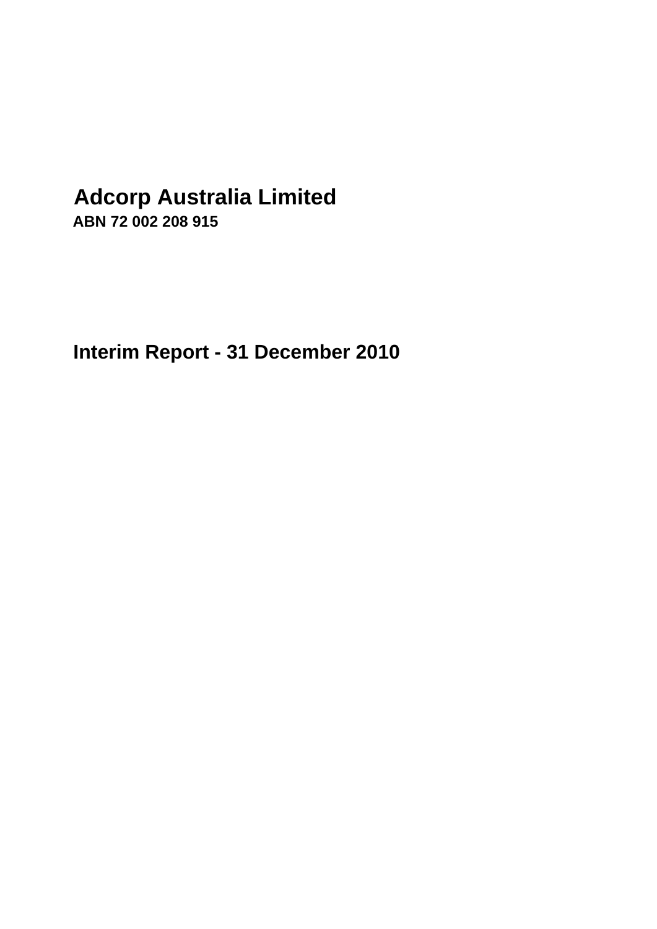# **Adcorp Australia Limited**

**ABN 72 002 208 915**

**Interim Report - 31 December 2010**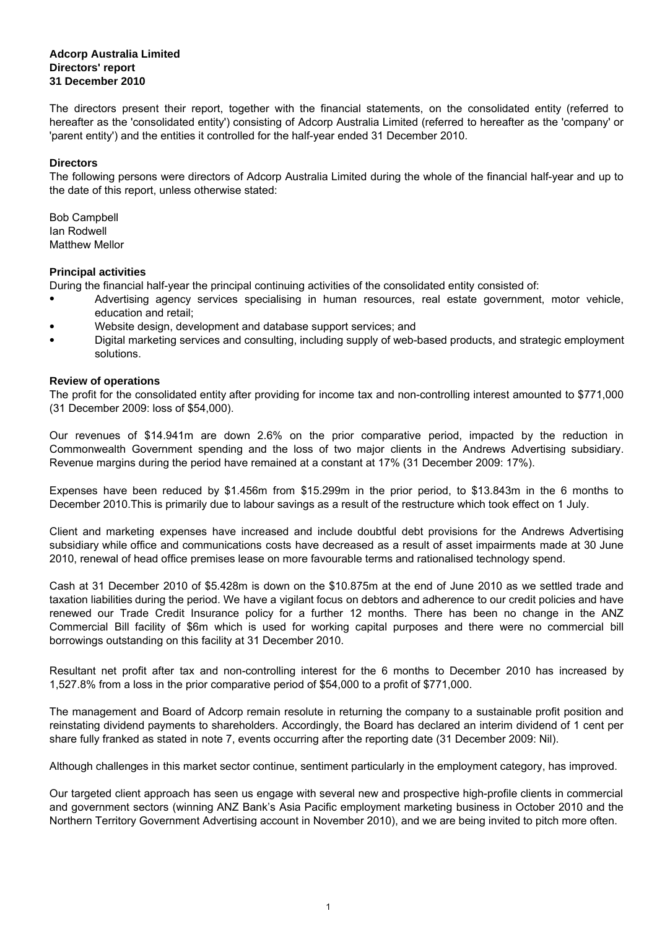#### **Adcorp Australia Limited Directors' report 31 December 2010**

The directors present their report, together with the financial statements, on the consolidated entity (referred to hereafter as the 'consolidated entity') consisting of Adcorp Australia Limited (referred to hereafter as the 'company' or 'parent entity') and the entities it controlled for the half-year ended 31 December 2010.

#### **Directors**

The following persons were directors of Adcorp Australia Limited during the whole of the financial half-year and up to the date of this report, unless otherwise stated:

Bob Campbell Matthew Mellor Ian Rodwell

#### **Principal activities**

During the financial half-year the principal continuing activities of the consolidated entity consisted of:

- Advertising agency services specialising in human resources, real estate government, motor vehicle, education and retail;
- Website design, development and database support services; and
- Digital marketing services and consulting, including supply of web-based products, and strategic employment solutions.

#### **Review of operations**

The profit for the consolidated entity after providing for income tax and non-controlling interest amounted to \$771,000 (31 December 2009: loss of \$54,000).

Our revenues of \$14.941m are down 2.6% on the prior comparative period, impacted by the reduction in Commonwealth Government spending and the loss of two major clients in the Andrews Advertising subsidiary. Revenue margins during the period have remained at a constant at 17% (31 December 2009: 17%).

Expenses have been reduced by \$1.456m from \$15.299m in the prior period, to \$13.843m in the 6 months to December 2010.This is primarily due to labour savings as a result of the restructure which took effect on 1 July.

Client and marketing expenses have increased and include doubtful debt provisions for the Andrews Advertising subsidiary while office and communications costs have decreased as a result of asset impairments made at 30 June 2010, renewal of head office premises lease on more favourable terms and rationalised technology spend.

Cash at 31 December 2010 of \$5.428m is down on the \$10.875m at the end of June 2010 as we settled trade and taxation liabilities during the period. We have a vigilant focus on debtors and adherence to our credit policies and have renewed our Trade Credit Insurance policy for a further 12 months. There has been no change in the ANZ Commercial Bill facility of \$6m which is used for working capital purposes and there were no commercial bill borrowings outstanding on this facility at 31 December 2010.

Resultant net profit after tax and non-controlling interest for the 6 months to December 2010 has increased by 1,527.8% from a loss in the prior comparative period of \$54,000 to a profit of \$771,000.

The management and Board of Adcorp remain resolute in returning the company to a sustainable profit position and reinstating dividend payments to shareholders. Accordingly, the Board has declared an interim dividend of 1 cent per share fully franked as stated in note 7, events occurring after the reporting date (31 December 2009: Nil).

Although challenges in this market sector continue, sentiment particularly in the employment category, has improved.

Our targeted client approach has seen us engage with several new and prospective high-profile clients in commercial and government sectors (winning ANZ Bank's Asia Pacific employment marketing business in October 2010 and the Northern Territory Government Advertising account in November 2010), and we are being invited to pitch more often.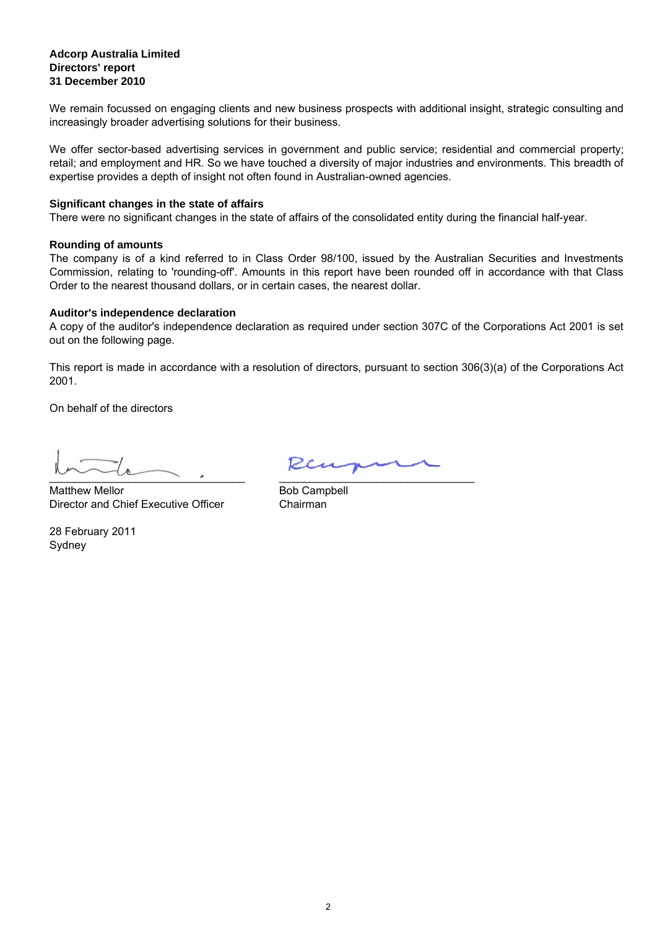#### **31 December 2010 Adcorp Australia Limited Directors' report**

We remain focussed on engaging clients and new business prospects with additional insight, strategic consulting and increasingly broader advertising solutions for their business.

We offer sector-based advertising services in government and public service; residential and commercial property; retail; and employment and HR. So we have touched a diversity of major industries and environments. This breadth of expertise provides a depth of insight not often found in Australian-owned agencies.

#### **Significant changes in the state of affairs**

There were no significant changes in the state of affairs of the consolidated entity during the financial half-year.

#### **Rounding of amounts**

The company is of a kind referred to in Class Order 98/100, issued by the Australian Securities and Investments Commission, relating to 'rounding-off'. Amounts in this report have been rounded off in accordance with that Class Order to the nearest thousand dollars, or in certain cases, the nearest dollar.

#### **Auditor's independence declaration**

A copy of the auditor's independence declaration as required under section 307C of the Corporations Act 2001 is set out on the following page.

This report is made in accordance with a resolution of directors, pursuant to section 306(3)(a) of the Corporations Act 2001.

On behalf of the directors

 $\sim$   $\sim$   $\sim$   $\sim$   $\sim$   $\sim$ 

Director and Chief Executive Officer Chairman Matthew Mellor

Sydney 28 February 2011

Ren  $\mathcal{L}_\text{max}$  , which is the contribution of  $\mathcal{L}_\text{max}$  , we can also also the contribution of  $\mathcal{L}_\text{max}$ 

Bob Campbell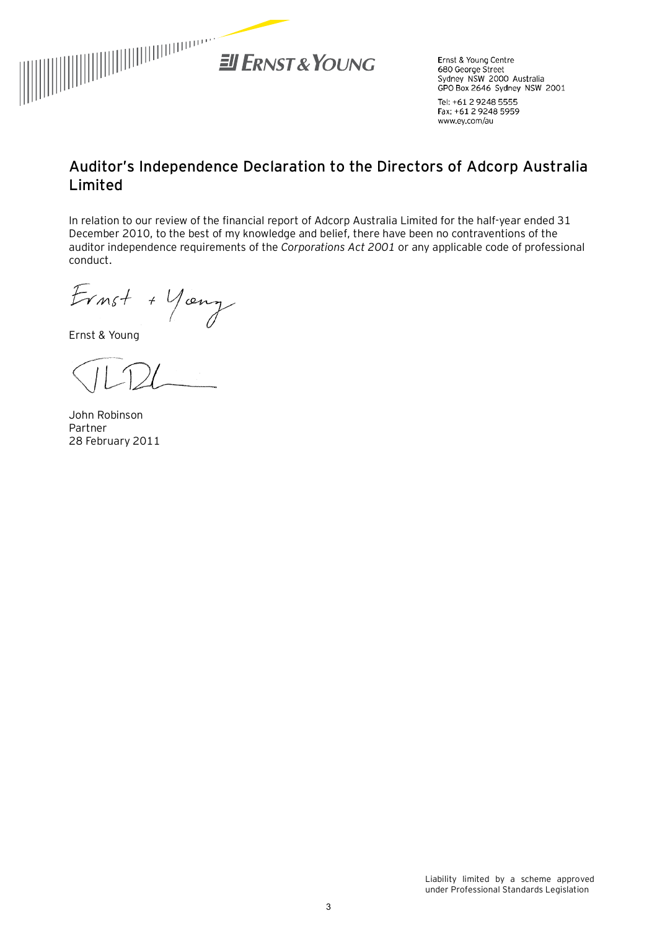

Ernst & Young Centre 680 George Street Sydney NSW 2000 Australia GPO Box 2646 Sydney NSW 2001

Tel: +61 2 9248 5555 Fax: +61 2 9248 5959 www.ey.com/au

# **Auditor's Independence Declaration to the Directors of Adcorp Australia Limited**

In relation to our review of the financial report of Adcorp Australia Limited for the half-year ended 31 December 2010, to the best of my knowledge and belief, there have been no contraventions of the auditor independence requirements of the *Corporations Act 2001* or any applicable code of professional conduct.

Ernst + Young

Ernst & Young

John Robinson Partner 28 February 2011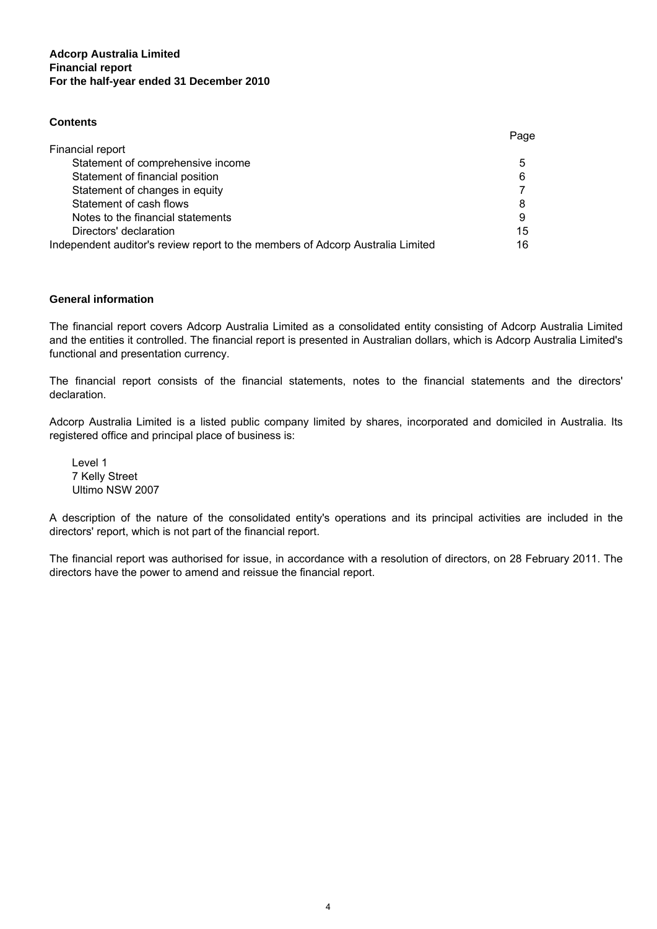### **Adcorp Australia Limited For the half-year ended 31 December 2010 Financial report**

#### **Contents**

|                                                                                | Page |
|--------------------------------------------------------------------------------|------|
| Financial report                                                               |      |
| Statement of comprehensive income                                              | 5    |
| Statement of financial position                                                | 6    |
| Statement of changes in equity                                                 |      |
| Statement of cash flows                                                        | 8    |
| Notes to the financial statements                                              | 9    |
| Directors' declaration                                                         | 15   |
| Independent auditor's review report to the members of Adcorp Australia Limited | 16   |

#### **General information**

The financial report covers Adcorp Australia Limited as a consolidated entity consisting of Adcorp Australia Limited and the entities it controlled. The financial report is presented in Australian dollars, which is Adcorp Australia Limited's functional and presentation currency.

The financial report consists of the financial statements, notes to the financial statements and the directors' declaration.

Adcorp Australia Limited is a listed public company limited by shares, incorporated and domiciled in Australia. Its registered office and principal place of business is:

Level 1 7 Kelly Street Ultimo NSW 2007

A description of the nature of the consolidated entity's operations and its principal activities are included in the directors' report, which is not part of the financial report.

The financial report was authorised for issue, in accordance with a resolution of directors, on 28 February 2011. The directors have the power to amend and reissue the financial report.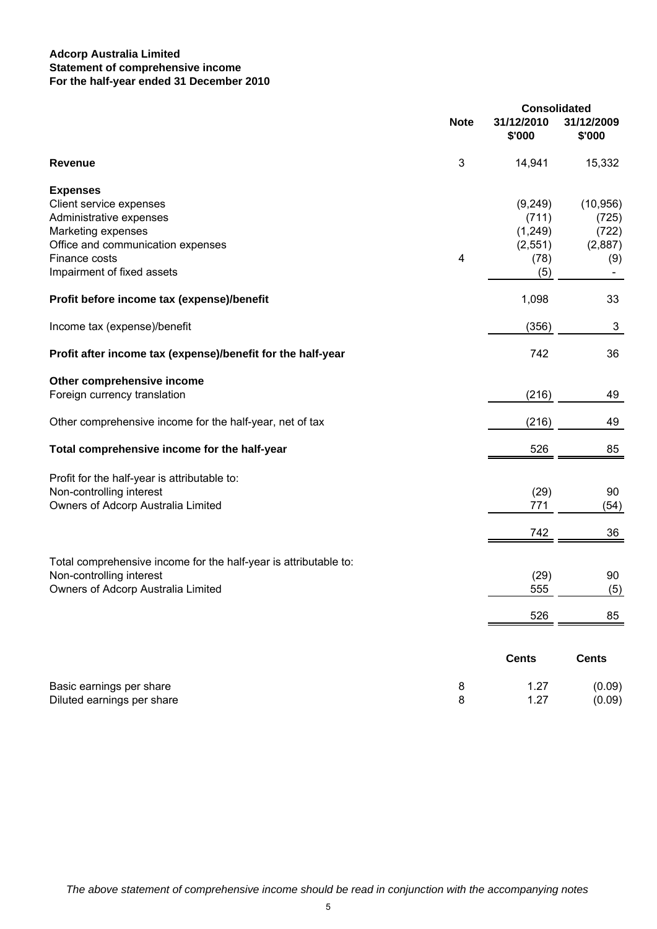### **Adcorp Australia Limited For the half-year ended 31 December 2010 Statement of comprehensive income**

|                                                                  |             | <b>Consolidated</b>  |                      |
|------------------------------------------------------------------|-------------|----------------------|----------------------|
|                                                                  | <b>Note</b> | 31/12/2010<br>\$'000 | 31/12/2009<br>\$'000 |
| <b>Revenue</b>                                                   | 3           | 14,941               | 15,332               |
| <b>Expenses</b>                                                  |             |                      |                      |
| Client service expenses                                          |             | (9,249)              | (10, 956)            |
| Administrative expenses                                          |             | (711)                | (725)                |
| Marketing expenses                                               |             | (1,249)              | (722)                |
| Office and communication expenses<br>Finance costs               | 4           | (2,551)<br>(78)      | (2,887)<br>(9)       |
| Impairment of fixed assets                                       |             | (5)                  |                      |
| Profit before income tax (expense)/benefit                       |             | 1,098                | 33                   |
| Income tax (expense)/benefit                                     |             | (356)                | 3                    |
| Profit after income tax (expense)/benefit for the half-year      |             | 742                  | 36                   |
| Other comprehensive income                                       |             |                      |                      |
| Foreign currency translation                                     |             | (216)                | 49                   |
| Other comprehensive income for the half-year, net of tax         |             | (216)                | 49                   |
| Total comprehensive income for the half-year                     |             | 526                  | 85                   |
| Profit for the half-year is attributable to:                     |             |                      |                      |
| Non-controlling interest                                         |             | (29)                 | 90                   |
| Owners of Adcorp Australia Limited                               |             | 771                  | (54)                 |
|                                                                  |             | 742                  | 36                   |
| Total comprehensive income for the half-year is attributable to: |             |                      |                      |
| Non-controlling interest                                         |             | (29)                 | 90                   |
| Owners of Adcorp Australia Limited                               |             | 555                  | (5)                  |
|                                                                  |             | 526                  | 85                   |
|                                                                  |             | <b>Cents</b>         | <b>Cents</b>         |
| Basic earnings per share                                         | 8           | 1.27                 | (0.09)               |
| Diluted earnings per share                                       | 8           | 1.27                 | (0.09)               |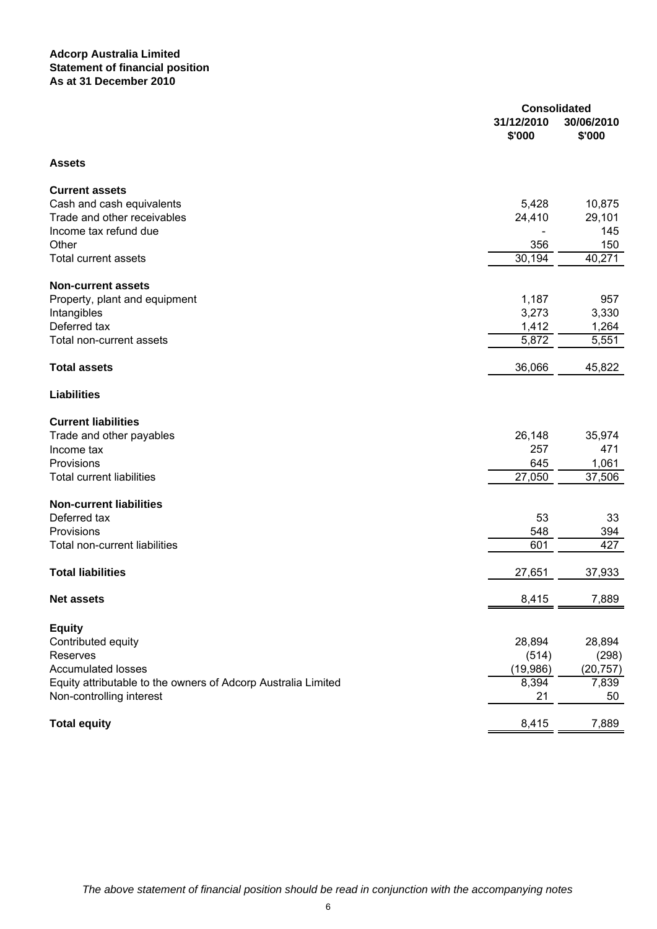#### **Adcorp Australia Limited Statement of financial position As at 31 December 2010**

|                                                               | <b>Consolidated</b> |            |
|---------------------------------------------------------------|---------------------|------------|
|                                                               | 31/12/2010          | 30/06/2010 |
|                                                               | \$'000              | \$'000     |
| <b>Assets</b>                                                 |                     |            |
| <b>Current assets</b>                                         |                     |            |
| Cash and cash equivalents                                     | 5,428               | 10,875     |
| Trade and other receivables                                   | 24,410              | 29,101     |
| Income tax refund due                                         |                     | 145        |
| Other                                                         | 356                 | 150        |
| <b>Total current assets</b>                                   | 30,194              | 40,271     |
| <b>Non-current assets</b>                                     |                     |            |
| Property, plant and equipment                                 | 1,187               | 957        |
| Intangibles                                                   | 3,273               | 3,330      |
| Deferred tax                                                  | 1,412               | 1,264      |
| Total non-current assets                                      | 5,872               | 5,551      |
| <b>Total assets</b>                                           | 36,066              | 45,822     |
| <b>Liabilities</b>                                            |                     |            |
| <b>Current liabilities</b>                                    |                     |            |
| Trade and other payables                                      | 26,148              | 35,974     |
| Income tax                                                    | 257                 | 471        |
| Provisions                                                    | 645                 | 1,061      |
| <b>Total current liabilities</b>                              | $\overline{27,050}$ | 37,506     |
| <b>Non-current liabilities</b>                                |                     |            |
| Deferred tax                                                  | 53                  | 33         |
| Provisions                                                    | 548                 | 394        |
| Total non-current liabilities                                 | 601                 | 427        |
| <b>Total liabilities</b>                                      | 27,651              | 37,933     |
| <b>Net assets</b>                                             | 8,415               | 7,889      |
|                                                               |                     |            |
| <b>Equity</b>                                                 |                     |            |
| Contributed equity                                            | 28,894              | 28,894     |
| Reserves                                                      | (514)               | (298)      |
| <b>Accumulated losses</b>                                     | (19, 986)           | (20, 757)  |
| Equity attributable to the owners of Adcorp Australia Limited | 8,394               | 7,839      |
| Non-controlling interest                                      | 21                  | 50         |
| <b>Total equity</b>                                           | 8,415               | 7,889      |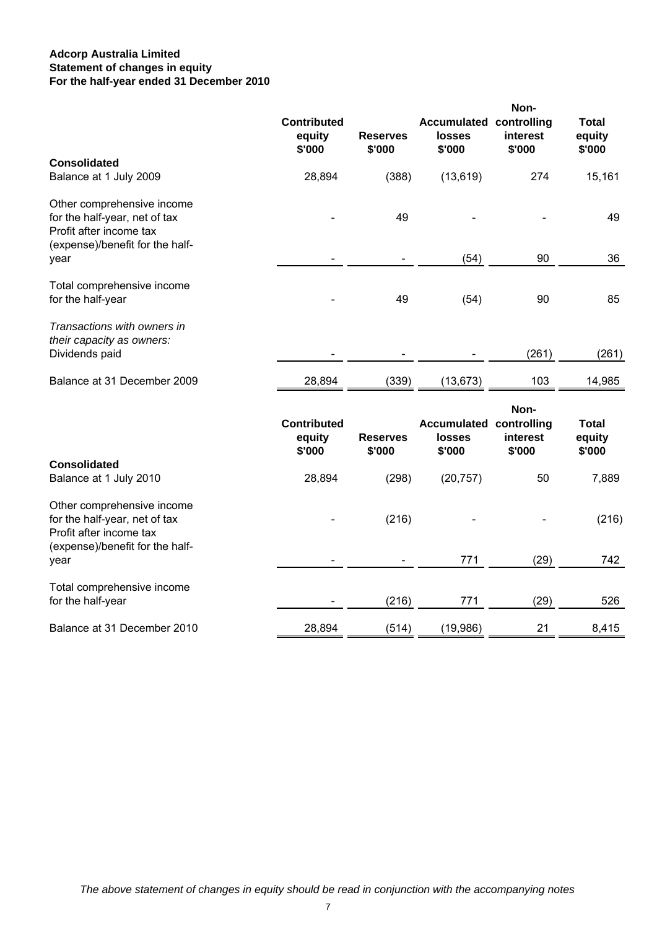## **Adcorp Australia Limited For the half-year ended 31 December 2010 Statement of changes in equity**

|                                                                                                                           | <b>Contributed</b><br>equity<br>\$'000 | <b>Reserves</b><br>\$'000 | <b>Accumulated controlling</b><br>losses<br>\$'000        | Non-<br>interest<br>\$'000 | <b>Total</b><br>equity<br>\$'000 |
|---------------------------------------------------------------------------------------------------------------------------|----------------------------------------|---------------------------|-----------------------------------------------------------|----------------------------|----------------------------------|
| <b>Consolidated</b><br>Balance at 1 July 2009                                                                             | 28,894                                 | (388)                     | (13, 619)                                                 | 274                        | 15,161                           |
| Other comprehensive income<br>for the half-year, net of tax<br>Profit after income tax<br>(expense)/benefit for the half- |                                        | 49                        |                                                           |                            | 49                               |
| year                                                                                                                      |                                        |                           | (54)                                                      | 90                         | 36                               |
| Total comprehensive income<br>for the half-year                                                                           |                                        | 49                        | (54)                                                      | 90                         | 85                               |
| Transactions with owners in<br>their capacity as owners:<br>Dividends paid                                                |                                        |                           |                                                           | (261)                      | (261)                            |
| Balance at 31 December 2009                                                                                               | 28,894                                 | (339)                     | (13, 673)                                                 | 103                        | 14,985                           |
| <b>Consolidated</b>                                                                                                       | <b>Contributed</b><br>equity<br>\$'000 | <b>Reserves</b><br>\$'000 | <b>Accumulated controlling</b><br><b>losses</b><br>\$'000 | Non-<br>interest<br>\$'000 | <b>Total</b><br>equity<br>\$'000 |
| Balance at 1 July 2010                                                                                                    | 28,894                                 | (298)                     | (20, 757)                                                 | 50                         | 7,889                            |
| Other comprehensive income<br>for the half-year, net of tax<br>Profit after income tax                                    |                                        | (216)                     |                                                           |                            | (216)                            |
| (expense)/benefit for the half-<br>year                                                                                   |                                        |                           | 771                                                       | (29)                       | 742                              |
| Total comprehensive income<br>for the half-year                                                                           |                                        | (216)                     | 771                                                       | (29)                       | 526                              |
| Balance at 31 December 2010                                                                                               | 28,894                                 | (514)                     | (19, 986)                                                 | 21                         | 8,415                            |
|                                                                                                                           |                                        |                           |                                                           |                            |                                  |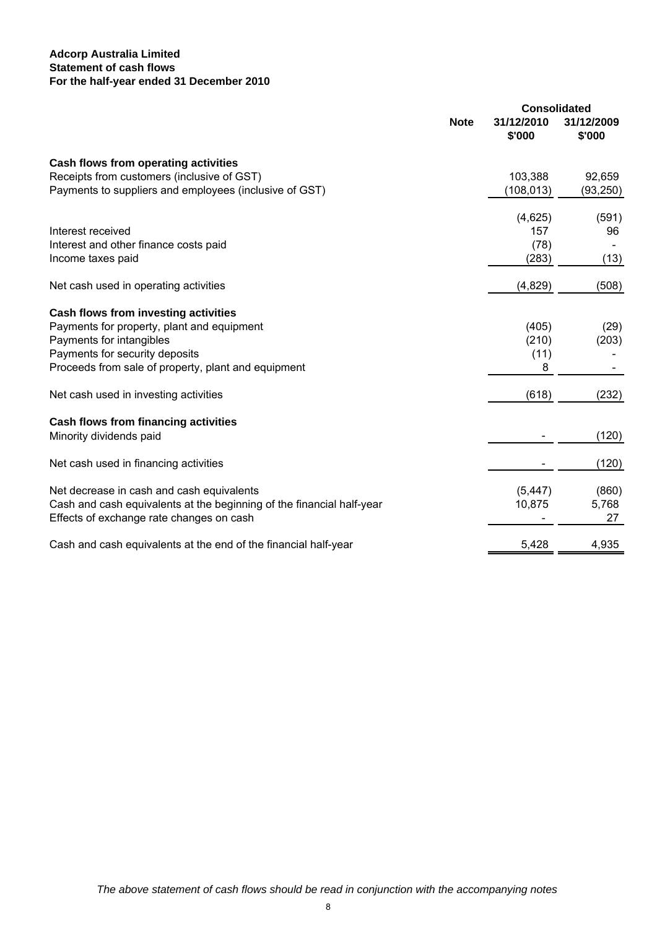## **Adcorp Australia Limited For the half-year ended 31 December 2010 Statement of cash flows**

|                      | <b>Consolidated</b>           |
|----------------------|-------------------------------|
| 31/12/2010<br>\$'000 | 31/12/2009<br>\$'000          |
|                      |                               |
| 103,388              | 92,659                        |
| (108, 013)           | (93, 250)                     |
|                      | (591)                         |
| 157                  | 96                            |
| (78)                 |                               |
| (283)                | (13)                          |
| (4,829)              | (508)                         |
|                      |                               |
| (405)                | (29)                          |
| (210)                | (203)                         |
| (11)                 |                               |
| 8                    |                               |
| (618)                | (232)                         |
|                      |                               |
|                      | (120)                         |
|                      | (120)                         |
|                      | (860)                         |
|                      | 5,768                         |
|                      | 27                            |
| 5,428                | 4,935                         |
| <b>Note</b>          | (4,625)<br>(5, 447)<br>10,875 |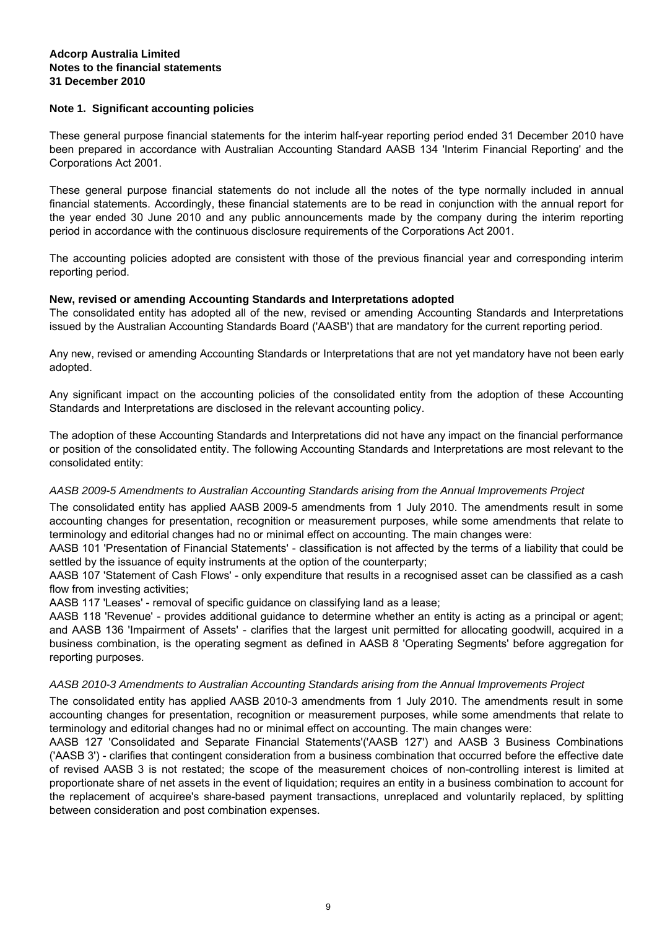#### **Note 1. Significant accounting policies**

These general purpose financial statements for the interim half-year reporting period ended 31 December 2010 have been prepared in accordance with Australian Accounting Standard AASB 134 'Interim Financial Reporting' and the Corporations Act 2001.

These general purpose financial statements do not include all the notes of the type normally included in annual financial statements. Accordingly, these financial statements are to be read in conjunction with the annual report for the year ended 30 June 2010 and any public announcements made by the company during the interim reporting period in accordance with the continuous disclosure requirements of the Corporations Act 2001.

The accounting policies adopted are consistent with those of the previous financial year and corresponding interim reporting period.

#### **New, revised or amending Accounting Standards and Interpretations adopted**

The consolidated entity has adopted all of the new, revised or amending Accounting Standards and Interpretations issued by the Australian Accounting Standards Board ('AASB') that are mandatory for the current reporting period.

Any new, revised or amending Accounting Standards or Interpretations that are not yet mandatory have not been early adopted.

Any significant impact on the accounting policies of the consolidated entity from the adoption of these Accounting Standards and Interpretations are disclosed in the relevant accounting policy.

The adoption of these Accounting Standards and Interpretations did not have any impact on the financial performance or position of the consolidated entity. The following Accounting Standards and Interpretations are most relevant to the consolidated entity:

#### *AASB 2009-5 Amendments to Australian Accounting Standards arising from the Annual Improvements Project*

The consolidated entity has applied AASB 2009-5 amendments from 1 July 2010. The amendments result in some accounting changes for presentation, recognition or measurement purposes, while some amendments that relate to terminology and editorial changes had no or minimal effect on accounting. The main changes were:

AASB 101 'Presentation of Financial Statements' - classification is not affected by the terms of a liability that could be settled by the issuance of equity instruments at the option of the counterparty;

AASB 107 'Statement of Cash Flows' - only expenditure that results in a recognised asset can be classified as a cash flow from investing activities;

AASB 117 'Leases' - removal of specific guidance on classifying land as a lease;

AASB 118 'Revenue' - provides additional guidance to determine whether an entity is acting as a principal or agent; and AASB 136 'Impairment of Assets' - clarifies that the largest unit permitted for allocating goodwill, acquired in a business combination, is the operating segment as defined in AASB 8 'Operating Segments' before aggregation for reporting purposes.

#### *AASB 2010-3 Amendments to Australian Accounting Standards arising from the Annual Improvements Project*

The consolidated entity has applied AASB 2010-3 amendments from 1 July 2010. The amendments result in some accounting changes for presentation, recognition or measurement purposes, while some amendments that relate to terminology and editorial changes had no or minimal effect on accounting. The main changes were:

AASB 127 'Consolidated and Separate Financial Statements'('AASB 127') and AASB 3 Business Combinations ('AASB 3') - clarifies that contingent consideration from a business combination that occurred before the effective date of revised AASB 3 is not restated; the scope of the measurement choices of non-controlling interest is limited at proportionate share of net assets in the event of liquidation; requires an entity in a business combination to account for the replacement of acquiree's share-based payment transactions, unreplaced and voluntarily replaced, by splitting between consideration and post combination expenses.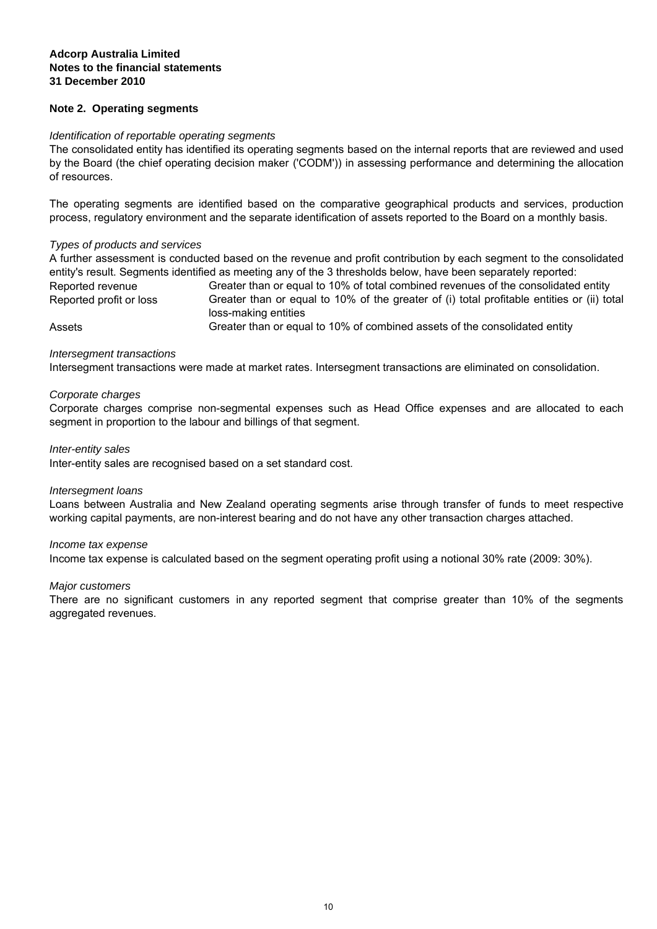#### **Note 2. Operating segments**

#### *Identification of reportable operating segments*

The consolidated entity has identified its operating segments based on the internal reports that are reviewed and used by the Board (the chief operating decision maker ('CODM')) in assessing performance and determining the allocation of resources.

The operating segments are identified based on the comparative geographical products and services, production process, regulatory environment and the separate identification of assets reported to the Board on a monthly basis.

#### *Types of products and services*

Reported profit or loss Greater than or equal to 10% of the greater of (i) total profitable entities or (ii) total loss-making entities Reported revenue Assets Greater than or equal to 10% of combined assets of the consolidated entity A further assessment is conducted based on the revenue and profit contribution by each segment to the consolidated entity's result. Segments identified as meeting any of the 3 thresholds below, have been separately reported: Greater than or equal to 10% of total combined revenues of the consolidated entity

#### *Intersegment transactions*

Intersegment transactions were made at market rates. Intersegment transactions are eliminated on consolidation.

#### *Corporate charges*

Corporate charges comprise non-segmental expenses such as Head Office expenses and are allocated to each segment in proportion to the labour and billings of that segment.

#### *Inter-entity sales*

Inter-entity sales are recognised based on a set standard cost.

#### *Intersegment loans*

Loans between Australia and New Zealand operating segments arise through transfer of funds to meet respective working capital payments, are non-interest bearing and do not have any other transaction charges attached.

#### *Income tax expense*

Income tax expense is calculated based on the segment operating profit using a notional 30% rate (2009: 30%).

#### *Major customers*

There are no significant customers in any reported segment that comprise greater than 10% of the segments aggregated revenues.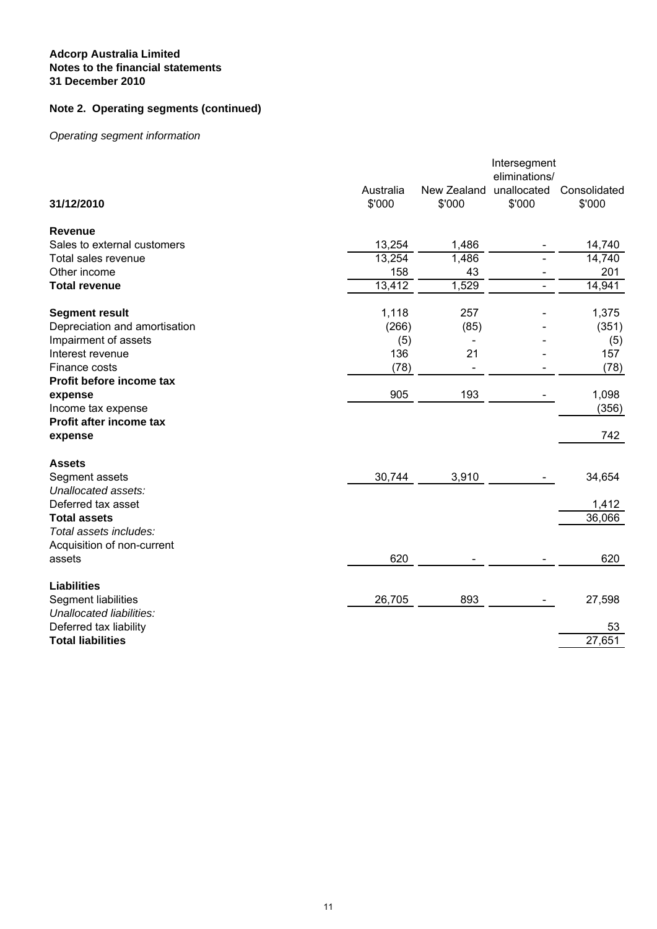# **Note 2. Operating segments (continued)**

# *Operating segment information*

|                               |                     |                              | Intersegment<br>eliminations/ |                        |
|-------------------------------|---------------------|------------------------------|-------------------------------|------------------------|
| 31/12/2010                    | Australia<br>\$'000 | New Zealand<br>\$'000        | unallocated<br>\$'000         | Consolidated<br>\$'000 |
| <b>Revenue</b>                |                     |                              |                               |                        |
| Sales to external customers   | 13,254              | 1,486                        |                               | 14,740                 |
| Total sales revenue           | 13,254              | 1,486                        |                               | 14,740                 |
| Other income                  | 158                 | 43                           |                               | 201                    |
| <b>Total revenue</b>          | 13,412              | 1,529                        |                               | 14,941                 |
| <b>Segment result</b>         | 1,118               | 257                          |                               | 1,375                  |
| Depreciation and amortisation | (266)               | (85)                         |                               | (351)                  |
| Impairment of assets          | (5)                 | $\qquad \qquad \blacksquare$ |                               | (5)                    |
| Interest revenue              | 136                 | 21                           |                               | 157                    |
| Finance costs                 | (78)                |                              |                               | (78)                   |
| Profit before income tax      |                     |                              |                               |                        |
| expense                       | 905                 | 193                          |                               | 1,098                  |
| Income tax expense            |                     |                              |                               | (356)                  |
| Profit after income tax       |                     |                              |                               |                        |
| expense                       |                     |                              |                               | 742                    |
| <b>Assets</b>                 |                     |                              |                               |                        |
| Segment assets                | 30,744              | 3,910                        |                               | 34,654                 |
| Unallocated assets:           |                     |                              |                               |                        |
| Deferred tax asset            |                     |                              |                               | 1,412                  |
| <b>Total assets</b>           |                     |                              |                               | 36,066                 |
| Total assets includes:        |                     |                              |                               |                        |
| Acquisition of non-current    |                     |                              |                               |                        |
| assets                        | 620                 |                              |                               | 620                    |
| <b>Liabilities</b>            |                     |                              |                               |                        |
| Segment liabilities           | 26,705              | 893                          |                               | 27,598                 |
| Unallocated liabilities:      |                     |                              |                               |                        |
| Deferred tax liability        |                     |                              |                               | 53                     |
| <b>Total liabilities</b>      |                     |                              |                               | 27,651                 |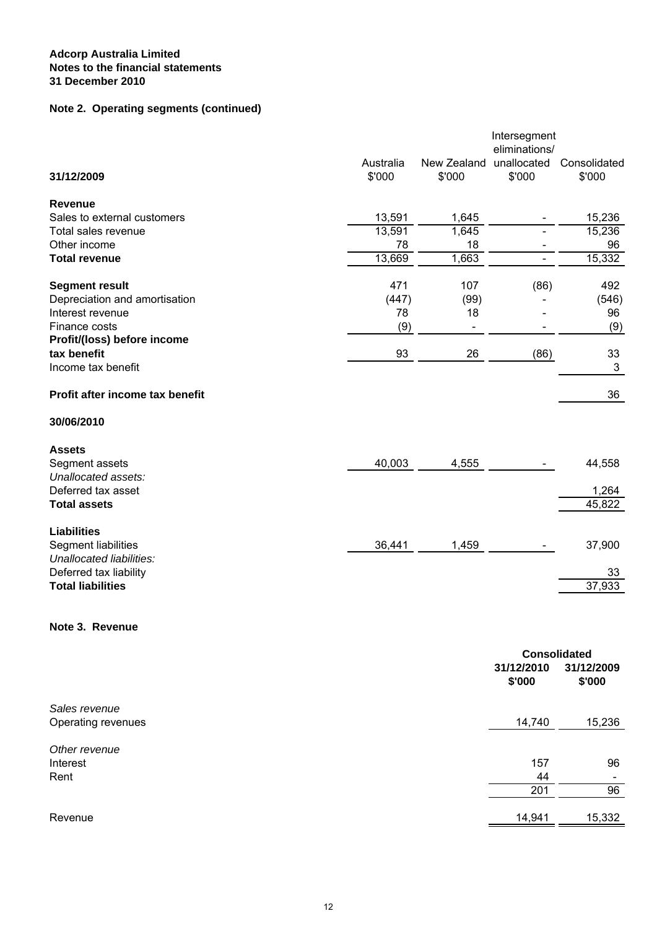# **Note 2. Operating segments (continued)**

|                                 |           |             | Intersegment<br>eliminations/ |              |
|---------------------------------|-----------|-------------|-------------------------------|--------------|
|                                 | Australia | New Zealand | unallocated                   | Consolidated |
| 31/12/2009                      | \$'000    | \$'000      | \$'000                        | \$'000       |
| <b>Revenue</b>                  |           |             |                               |              |
| Sales to external customers     | 13,591    | 1,645       |                               | 15,236       |
| Total sales revenue             | 13,591    | 1,645       |                               | 15,236       |
| Other income                    | 78        | 18          |                               | 96           |
| <b>Total revenue</b>            | 13,669    | 1,663       |                               | 15,332       |
| <b>Segment result</b>           | 471       | 107         | (86)                          | 492          |
| Depreciation and amortisation   | (447)     | (99)        |                               | (546)        |
| Interest revenue                | 78        | 18          |                               | 96           |
| Finance costs                   | (9)       |             |                               | (9)          |
| Profit/(loss) before income     |           |             |                               |              |
| tax benefit                     | 93        | 26          | (86)                          | 33           |
| Income tax benefit              |           |             |                               | $\mathbf{3}$ |
| Profit after income tax benefit |           |             |                               | 36           |
| 30/06/2010                      |           |             |                               |              |
| <b>Assets</b>                   |           |             |                               |              |
| Segment assets                  | 40,003    | 4,555       |                               | 44,558       |
| Unallocated assets:             |           |             |                               |              |
| Deferred tax asset              |           |             |                               | 1,264        |
| <b>Total assets</b>             |           |             |                               | 45,822       |
| <b>Liabilities</b>              |           |             |                               |              |
| Segment liabilities             | 36,441    | 1,459       |                               | 37,900       |
| Unallocated liabilities:        |           |             |                               |              |
| Deferred tax liability          |           |             |                               | 33           |
| <b>Total liabilities</b>        |           |             |                               | 37,933       |
|                                 |           |             |                               |              |

## **Note 3. Revenue**

| <b>Consolidated</b>      |  |
|--------------------------|--|
| 31/12/2009<br>\$'000     |  |
|                          |  |
| 15,236                   |  |
|                          |  |
| 96                       |  |
| $\overline{\phantom{a}}$ |  |
| 96                       |  |
| 15,332                   |  |
|                          |  |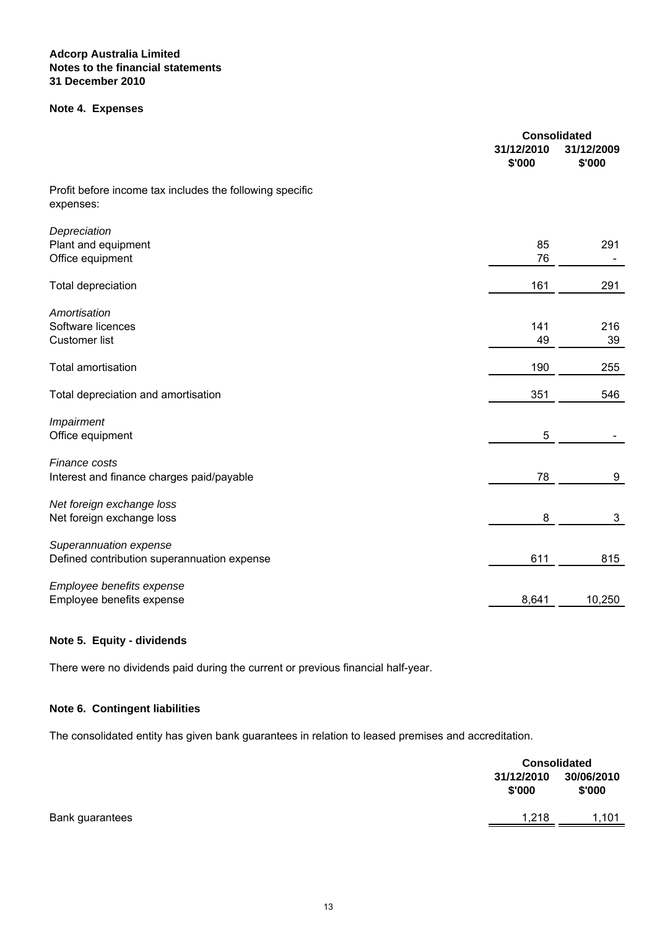#### **Note 4. Expenses**

|                                                                       | 31/12/2010<br>\$'000 | <b>Consolidated</b><br>31/12/2009<br>\$'000 |
|-----------------------------------------------------------------------|----------------------|---------------------------------------------|
| Profit before income tax includes the following specific<br>expenses: |                      |                                             |
| Depreciation<br>Plant and equipment<br>Office equipment               | 85<br>76             | 291                                         |
| <b>Total depreciation</b>                                             | 161                  | 291                                         |
| Amortisation<br>Software licences<br><b>Customer list</b>             | 141<br>49            | 216<br>39                                   |
| <b>Total amortisation</b>                                             | 190                  | 255                                         |
| Total depreciation and amortisation                                   | 351                  | 546                                         |
| Impairment<br>Office equipment                                        | 5                    |                                             |
| Finance costs<br>Interest and finance charges paid/payable            | 78                   | 9                                           |
| Net foreign exchange loss<br>Net foreign exchange loss                | 8                    | 3                                           |
| Superannuation expense<br>Defined contribution superannuation expense | 611                  | 815                                         |
| Employee benefits expense<br>Employee benefits expense                | 8,641                | 10,250                                      |

## **Note 5. Equity - dividends**

There were no dividends paid during the current or previous financial half-year.

## **Note 6. Contingent liabilities**

The consolidated entity has given bank guarantees in relation to leased premises and accreditation.

|                 | <b>Consolidated</b>  |                      |
|-----------------|----------------------|----------------------|
|                 | 31/12/2010<br>\$'000 | 30/06/2010<br>\$'000 |
| Bank guarantees | 1,218                | 1,101                |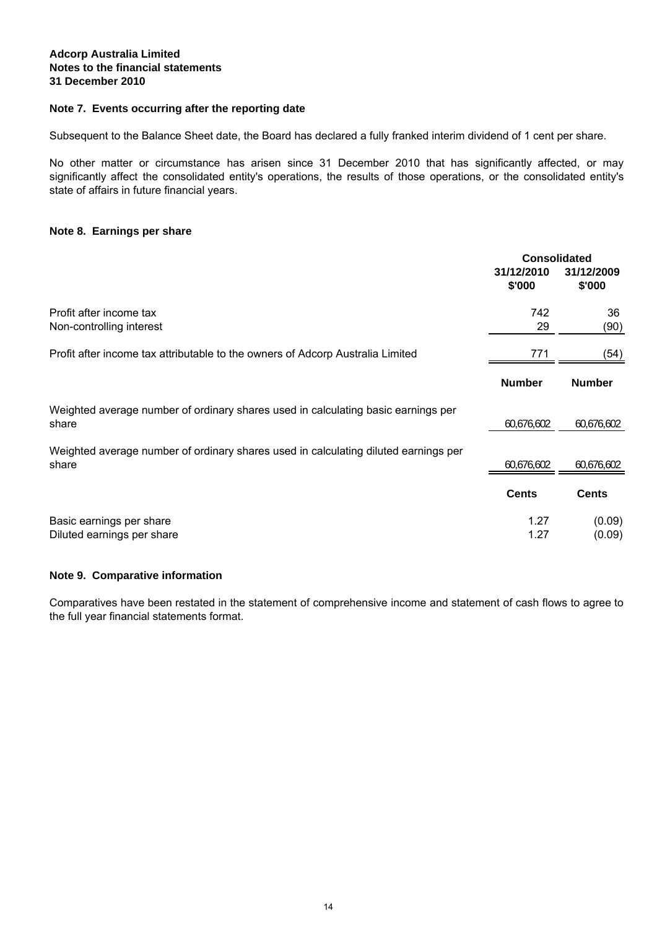### **Note 7. Events occurring after the reporting date**

Subsequent to the Balance Sheet date, the Board has declared a fully franked interim dividend of 1 cent per share.

No other matter or circumstance has arisen since 31 December 2010 that has significantly affected, or may significantly affect the consolidated entity's operations, the results of those operations, or the consolidated entity's state of affairs in future financial years.

#### **Note 8. Earnings per share**

|                                                                                              | <b>Consolidated</b>  |                      |
|----------------------------------------------------------------------------------------------|----------------------|----------------------|
|                                                                                              | 31/12/2010<br>\$'000 | 31/12/2009<br>\$'000 |
| Profit after income tax<br>Non-controlling interest                                          | 742<br>29            | 36<br>(90)           |
| Profit after income tax attributable to the owners of Adcorp Australia Limited               | 771                  | (54)                 |
|                                                                                              | <b>Number</b>        | <b>Number</b>        |
| Weighted average number of ordinary shares used in calculating basic earnings per<br>share   | 60,676,602           | 60,676,602           |
| Weighted average number of ordinary shares used in calculating diluted earnings per<br>share | 60,676,602           | 60,676,602           |
|                                                                                              | <b>Cents</b>         | <b>Cents</b>         |
| Basic earnings per share<br>Diluted earnings per share                                       | 1.27<br>1.27         | (0.09)<br>(0.09)     |

### **Note 9. Comparative information**

Comparatives have been restated in the statement of comprehensive income and statement of cash flows to agree to the full year financial statements format.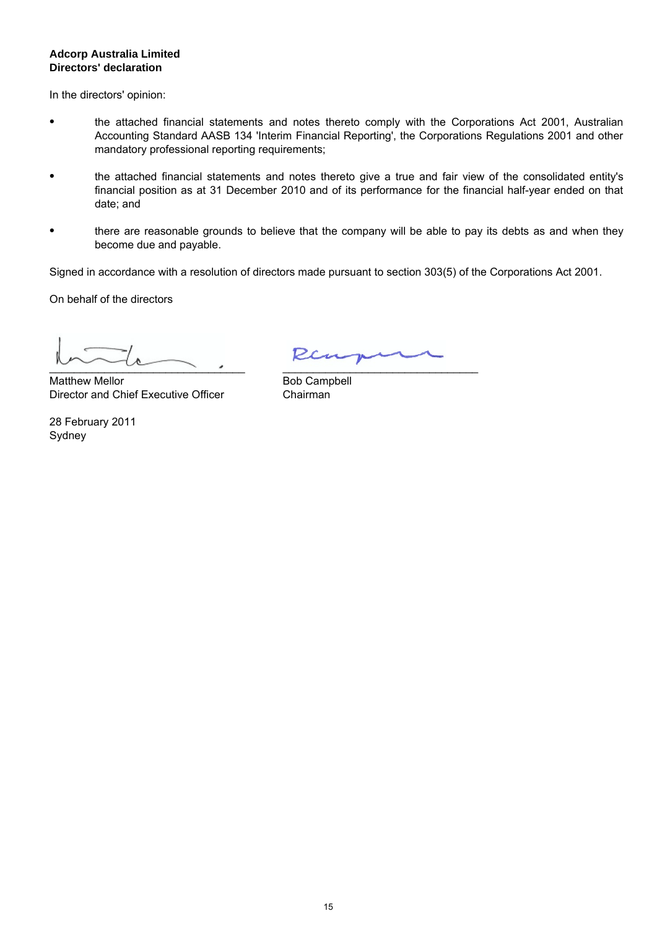## **Directors' declaration Adcorp Australia Limited**

In the directors' opinion:

- the attached financial statements and notes thereto comply with the Corporations Act 2001, Australian Accounting Standard AASB 134 'Interim Financial Reporting', the Corporations Regulations 2001 and other mandatory professional reporting requirements;
- $\bullet$ the attached financial statements and notes thereto give a true and fair view of the consolidated entity's financial position as at 31 December 2010 and of its performance for the financial half-year ended on that date; and
- $\bullet$ there are reasonable grounds to believe that the company will be able to pay its debts as and when they become due and payable.

Signed in accordance with a resolution of directors made pursuant to section 303(5) of the Corporations Act 2001.

On behalf of the directors

 $\sim$   $\sim$   $\sim$   $\sim$   $\sim$ 

Matthew Mellor Director and Chief Executive Officer

Sydney 28 February 2011

Ren  $\mathcal{L}_\text{max}$  and the contract of the contract of the contract of the contract of the contract of the contract of the contract of the contract of the contract of the contract of the contract of the contract of the contrac

Bob Campbell Chairman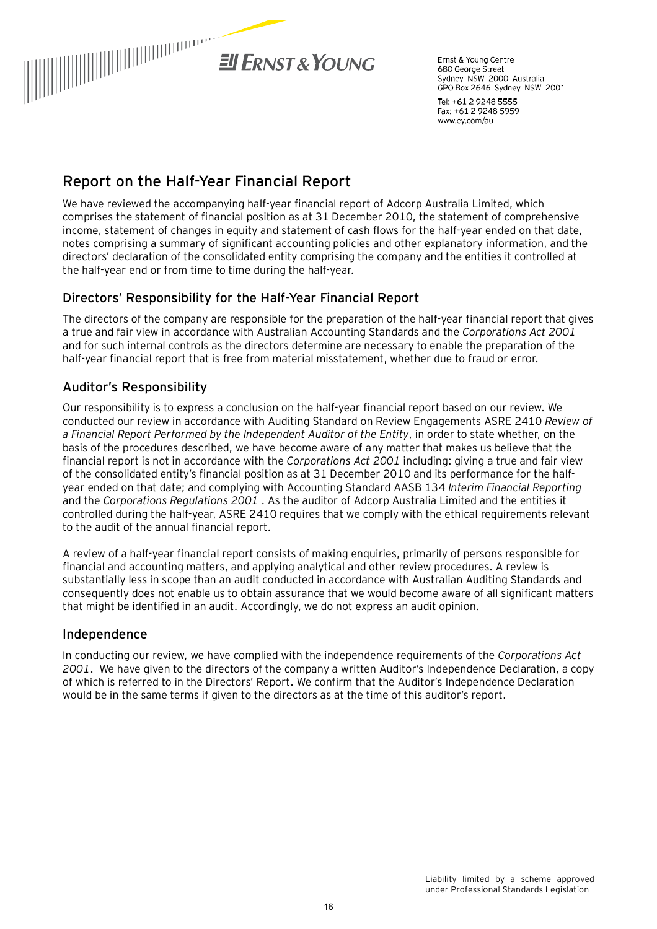

Frnst & Young Centre 680 George Street Sydney NSW 2000 Australia GPO Box 2646 Sydney NSW 2001

Tel: +61 2 9248 5555 Fax: +61 2 9248 5959 www.ey.com/au

# **Report on the Half-Year Financial Report**

We have reviewed the accompanying half-year financial report of Adcorp Australia Limited, which comprises the statement of financial position as at 31 December 2010, the statement of comprehensive income, statement of changes in equity and statement of cash flows for the half-year ended on that date, notes comprising a summary of significant accounting policies and other explanatory information, and the directors' declaration of the consolidated entity comprising the company and the entities it controlled at the half-year end or from time to time during the half-year.

# Directors' Responsibility for the Half-Year Financial Report

The directors of the company are responsible for the preparation of the half-year financial report that gives a true and fair view in accordance with Australian Accounting Standards and the *Corporations Act 2001* and for such internal controls as the directors determine are necessary to enable the preparation of the half-year financial report that is free from material misstatement, whether due to fraud or error.

# Auditor's Responsibility

Our responsibility is to express a conclusion on the half-year financial report based on our review. We conducted our review in accordance with Auditing Standard on Review Engagements ASRE 2410 *Review of a Financial Report Performed by the Independent Auditor of the Entity*, in order to state whether, on the basis of the procedures described, we have become aware of any matter that makes us believe that the financial report is not in accordance with the *Corporations Act 2001* including: giving a true and fair view of the consolidated entity's financial position as at 31 December 2010 and its performance for the halfyear ended on that date; and complying with Accounting Standard AASB 134 *Interim Financial Reporting* and the *Corporations Regulations 2001* . As the auditor of Adcorp Australia Limited and the entities it controlled during the half-year, ASRE 2410 requires that we comply with the ethical requirements relevant to the audit of the annual financial report.

A review of a half-year financial report consists of making enquiries, primarily of persons responsible for financial and accounting matters, and applying analytical and other review procedures. A review is substantially less in scope than an audit conducted in accordance with Australian Auditing Standards and consequently does not enable us to obtain assurance that we would become aware of all significant matters that might be identified in an audit. Accordingly, we do not express an audit opinion.

# Independence

In conducting our review, we have complied with the independence requirements of the *Corporations Act 2001*. We have given to the directors of the company a written Auditor's Independence Declaration, a copy of which is referred to in the Directors' Report. We confirm that the Auditor's Independence Declaration would be in the same terms if given to the directors as at the time of this auditor's report.